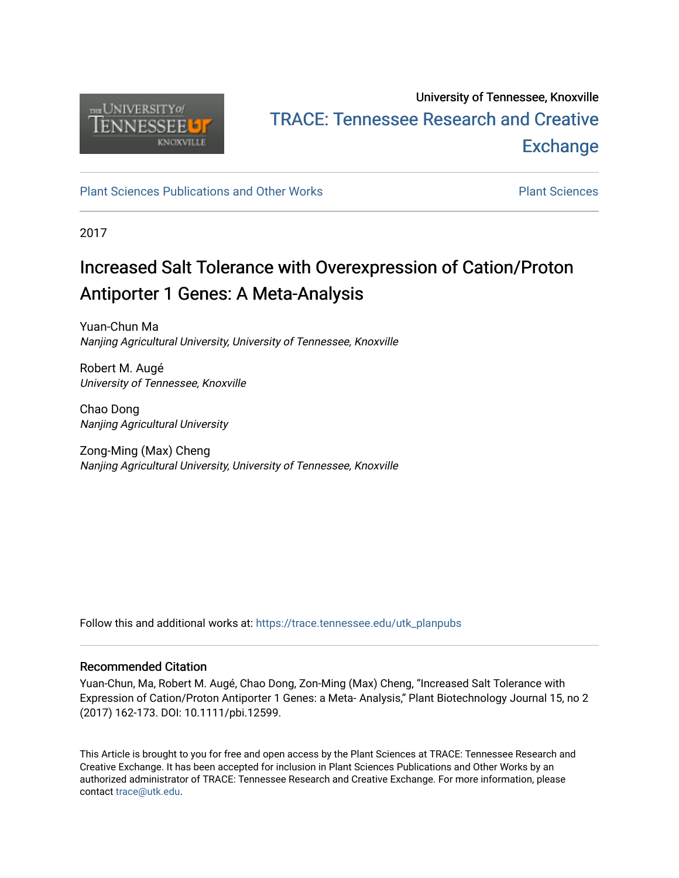

# University of Tennessee, Knoxville TRACE: T[ennessee Research and Cr](https://trace.tennessee.edu/)eative **Exchange**

# [Plant Sciences Publications and Other Works](https://trace.tennessee.edu/utk_planpubs) [Plant Sciences](https://trace.tennessee.edu/utk-plan)

2017

# Increased Salt Tolerance with Overexpression of Cation/Proton Antiporter 1 Genes: A Meta-Analysis

Yuan-Chun Ma Nanjing Agricultural University, University of Tennessee, Knoxville

Robert M. Augé University of Tennessee, Knoxville

Chao Dong Nanjing Agricultural University

Zong-Ming (Max) Cheng Nanjing Agricultural University, University of Tennessee, Knoxville

Follow this and additional works at: [https://trace.tennessee.edu/utk\\_planpubs](https://trace.tennessee.edu/utk_planpubs?utm_source=trace.tennessee.edu%2Futk_planpubs%2F85&utm_medium=PDF&utm_campaign=PDFCoverPages) 

# Recommended Citation

Yuan-Chun, Ma, Robert M. Augé, Chao Dong, Zon-Ming (Max) Cheng, "Increased Salt Tolerance with Expression of Cation/Proton Antiporter 1 Genes: a Meta- Analysis," Plant Biotechnology Journal 15, no 2 (2017) 162-173. DOI: 10.1111/pbi.12599.

This Article is brought to you for free and open access by the Plant Sciences at TRACE: Tennessee Research and Creative Exchange. It has been accepted for inclusion in Plant Sciences Publications and Other Works by an authorized administrator of TRACE: Tennessee Research and Creative Exchange. For more information, please contact [trace@utk.edu](mailto:trace@utk.edu).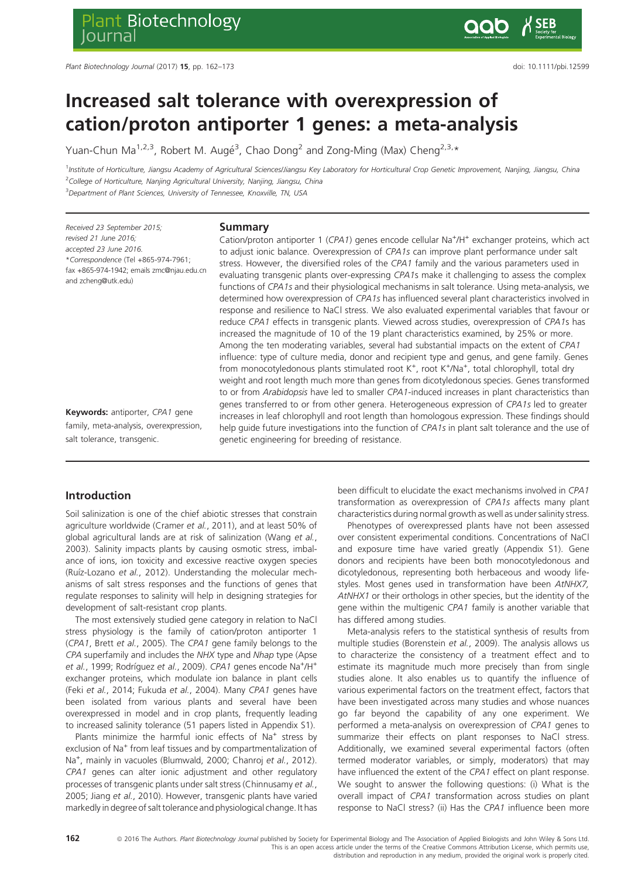Plant Biotechnology Journal (2017) 15, pp. 162-173 doi: 10.1111/pbi.12599

# Increased salt tolerance with overexpression of cation/proton antiporter 1 genes: a meta-analysis

Yuan-Chun Ma<sup>1,2,3</sup>, Robert M. Augé<sup>3</sup>, Chao Dong<sup>2</sup> and Zong-Ming (Max) Cheng<sup>2,3,</sup>\*

<sup>1</sup>Institute of Horticulture, Jiangsu Academy of Agricultural Sciences/Jiangsu Key Laboratory for Horticultural Crop Genetic Improvement, Nanjing, Jiangsu, China <sup>2</sup>College of Horticulture, Nanjing Agricultural University, Nanjing, Jiangsu, China <sup>3</sup>Department of Plant Sciences, University of Tennessee, Knoxville, TN, USA

Received 23 September 2015; revised 21  $\mu$ une 2016; accepted 23 June 2016. \*Correspondence (Tel +865-974-7961; fax +865-974-1942; emails zmc@njau.edu.cn and zcheng@utk.edu)

Keywords: antiporter, CPA1 gene family, meta-analysis, overexpression, salt tolerance, transgenic.

#### Summary

Cation/proton antiporter 1 (CPA1) genes encode cellular Na<sup>+</sup>/H<sup>+</sup> exchanger proteins, which act to adjust ionic balance. Overexpression of CPA1s can improve plant performance under salt stress. However, the diversified roles of the CPA1 family and the various parameters used in evaluating transgenic plants over-expressing CPA1s make it challenging to assess the complex functions of CPA1s and their physiological mechanisms in salt tolerance. Using meta-analysis, we determined how overexpression of CPA1s has influenced several plant characteristics involved in response and resilience to NaCl stress. We also evaluated experimental variables that favour or reduce CPA1 effects in transgenic plants. Viewed across studies, overexpression of CPA1s has increased the magnitude of 10 of the 19 plant characteristics examined, by 25% or more. Among the ten moderating variables, several had substantial impacts on the extent of CPA1 influence: type of culture media, donor and recipient type and genus, and gene family. Genes from monocotyledonous plants stimulated root K<sup>+</sup>, root K<sup>+</sup>/Na<sup>+</sup>, total chlorophyll, total dry weight and root length much more than genes from dicotyledonous species. Genes transformed to or from Arabidopsis have led to smaller CPA1-induced increases in plant characteristics than genes transferred to or from other genera. Heterogeneous expression of CPA1s led to greater increases in leaf chlorophyll and root length than homologous expression. These findings should help guide future investigations into the function of CPA1s in plant salt tolerance and the use of genetic engineering for breeding of resistance.

# Introduction

Soil salinization is one of the chief abiotic stresses that constrain agriculture worldwide (Cramer et al., 2011), and at least 50% of global agricultural lands are at risk of salinization (Wang et al., 2003). Salinity impacts plants by causing osmotic stress, imbalance of ions, ion toxicity and excessive reactive oxygen species (Ruíz-Lozano et al., 2012). Understanding the molecular mechanisms of salt stress responses and the functions of genes that regulate responses to salinity will help in designing strategies for development of salt-resistant crop plants.

The most extensively studied gene category in relation to NaCl stress physiology is the family of cation/proton antiporter 1 (CPA1, Brett et al., 2005). The CPA1 gene family belongs to the CPA superfamily and includes the NHX type and Nhap type (Apse et al., 1999; Rodríguez et al., 2009). CPA1 genes encode Na<sup>+</sup>/H<sup>+</sup> exchanger proteins, which modulate ion balance in plant cells (Feki et al., 2014; Fukuda et al., 2004). Many CPA1 genes have been isolated from various plants and several have been overexpressed in model and in crop plants, frequently leading to increased salinity tolerance (51 papers listed in Appendix S1).

Plants minimize the harmful ionic effects of Na<sup>+</sup> stress by exclusion of Na<sup>+</sup> from leaf tissues and by compartmentalization of Na<sup>+</sup>, mainly in vacuoles (Blumwald, 2000; Chanroj et al., 2012). CPA1 genes can alter ionic adjustment and other regulatory processes of transgenic plants under salt stress (Chinnusamy et al., 2005; Jiang et al., 2010). However, transgenic plants have varied markedly in degree of salt tolerance and physiological change. It has

been difficult to elucidate the exact mechanisms involved in CPA1 transformation as overexpression of CPA1s affects many plant characteristics during normal growth as well as under salinity stress.

Phenotypes of overexpressed plants have not been assessed over consistent experimental conditions. Concentrations of NaCl and exposure time have varied greatly (Appendix S1). Gene donors and recipients have been both monocotyledonous and dicotyledonous, representing both herbaceous and woody lifestyles. Most genes used in transformation have been AtNHX7, AtNHX1 or their orthologs in other species, but the identity of the gene within the multigenic CPA1 family is another variable that has differed among studies.

Meta-analysis refers to the statistical synthesis of results from multiple studies (Borenstein et al., 2009). The analysis allows us to characterize the consistency of a treatment effect and to estimate its magnitude much more precisely than from single studies alone. It also enables us to quantify the influence of various experimental factors on the treatment effect, factors that have been investigated across many studies and whose nuances go far beyond the capability of any one experiment. We performed a meta-analysis on overexpression of CPA1 genes to summarize their effects on plant responses to NaCl stress. Additionally, we examined several experimental factors (often termed moderator variables, or simply, moderators) that may have influenced the extent of the CPA1 effect on plant response. We sought to answer the following questions: (i) What is the overall impact of CPA1 transformation across studies on plant response to NaCl stress? (ii) Has the CPA1 influence been more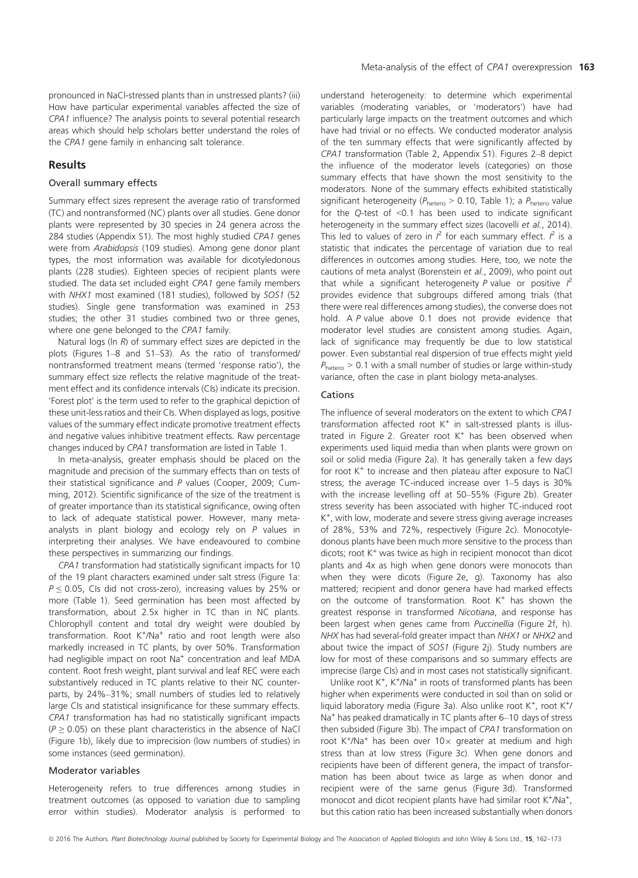pronounced in NaCl-stressed plants than in unstressed plants? (iii) How have particular experimental variables affected the size of CPA1 influence? The analysis points to several potential research areas which should help scholars better understand the roles of the CPA1 gene family in enhancing salt tolerance.

## Results

#### Overall summary effects

Summary effect sizes represent the average ratio of transformed (TC) and nontransformed (NC) plants over all studies. Gene donor plants were represented by 30 species in 24 genera across the 284 studies (Appendix S1). The most highly studied CPA1 genes were from Arabidopsis (109 studies). Among gene donor plant types, the most information was available for dicotyledonous plants (228 studies). Eighteen species of recipient plants were studied. The data set included eight CPA1 gene family members with NHX1 most examined (181 studies), followed by SOS1 (52 studies). Single gene transformation was examined in 253 studies; the other 31 studies combined two or three genes, where one gene belonged to the CPA1 family.

Natural logs ( $\ln R$ ) of summary effect sizes are depicted in the plots (Figures 1–8 and S1–S3). As the ratio of transformed/ nontransformed treatment means (termed 'response ratio'), the summary effect size reflects the relative magnitude of the treatment effect and its confidence intervals (CIs) indicate its precision. 'Forest plot' is the term used to refer to the graphical depiction of these unit-less ratios and their CIs. When displayed as logs, positive values of the summary effect indicate promotive treatment effects and negative values inhibitive treatment effects. Raw percentage changes induced by CPA1 transformation are listed in Table 1.

In meta-analysis, greater emphasis should be placed on the magnitude and precision of the summary effects than on tests of their statistical significance and P values (Cooper, 2009; Cumming, 2012). Scientific significance of the size of the treatment is of greater importance than its statistical significance, owing often to lack of adequate statistical power. However, many metaanalysts in plant biology and ecology rely on  $P$  values in interpreting their analyses. We have endeavoured to combine these perspectives in summarizing our findings.

CPA1 transformation had statistically significant impacts for 10 of the 19 plant characters examined under salt stress (Figure 1a:  $P \le 0.05$ , Cls did not cross-zero), increasing values by 25% or more (Table 1). Seed germination has been most affected by transformation, about 2.5x higher in TC than in NC plants. Chlorophyll content and total dry weight were doubled by transformation. Root K<sup>+</sup>/Na<sup>+</sup> ratio and root length were also markedly increased in TC plants, by over 50%. Transformation had negligible impact on root Na<sup>+</sup> concentration and leaf MDA content. Root fresh weight, plant survival and leaf REC were each substantively reduced in TC plants relative to their NC counterparts, by 24%–31%; small numbers of studies led to relatively large CIs and statistical insignificance for these summary effects. CPA1 transformation has had no statistically significant impacts  $(P \ge 0.05)$  on these plant characteristics in the absence of NaCl (Figure 1b), likely due to imprecision (low numbers of studies) in some instances (seed germination).

#### Moderator variables

Heterogeneity refers to true differences among studies in treatment outcomes (as opposed to variation due to sampling error within studies). Moderator analysis is performed to

understand heterogeneity: to determine which experimental variables (moderating variables, or 'moderators') have had particularly large impacts on the treatment outcomes and which have had trivial or no effects. We conducted moderator analysis of the ten summary effects that were significantly affected by CPA1 transformation (Table 2, Appendix S1). Figures 2–8 depict the influence of the moderator levels (categories) on those summary effects that have shown the most sensitivity to the moderators. None of the summary effects exhibited statistically significant heterogeneity ( $P_{\text{hetero}} > 0.10$ , Table 1); a  $P_{\text{hetero}}$  value for the Q-test of  $<$ 0.1 has been used to indicate significant heterogeneity in the summary effect sizes (lacovelli et al., 2014). This led to values of zero in  $l^2$  for each summary effect.  $l^2$  is a statistic that indicates the percentage of variation due to real differences in outcomes among studies. Here, too, we note the cautions of meta analyst (Borenstein et al., 2009), who point out that while a significant heterogeneity P value or positive  $l^2$ provides evidence that subgroups differed among trials (that there were real differences among studies), the converse does not hold. A P value above 0.1 does not provide evidence that moderator level studies are consistent among studies. Again, lack of significance may frequently be due to low statistical power. Even substantial real dispersion of true effects might yield  $P<sub>hetero</sub> > 0.1$  with a small number of studies or large within-study variance, often the case in plant biology meta-analyses.

#### Cations

The influence of several moderators on the extent to which CPA1 transformation affected root  $K^+$  in salt-stressed plants is illustrated in Figure 2. Greater root  $K^+$  has been observed when experiments used liquid media than when plants were grown on soil or solid media (Figure 2a). It has generally taken a few days for root  $K^+$  to increase and then plateau after exposure to NaCl stress; the average TC-induced increase over 1–5 days is 30% with the increase levelling off at 50–55% (Figure 2b). Greater stress severity has been associated with higher TC-induced root K+ , with low, moderate and severe stress giving average increases of 28%, 53% and 72%, respectively (Figure 2c). Monocotyledonous plants have been much more sensitive to the process than dicots; root  $K^+$  was twice as high in recipient monocot than dicot plants and 4x as high when gene donors were monocots than when they were dicots (Figure 2e, g). Taxonomy has also mattered; recipient and donor genera have had marked effects on the outcome of transformation. Root  $K^+$  has shown the greatest response in transformed Nicotiana, and response has been largest when genes came from Puccinellia (Figure 2f, h). NHX has had several-fold greater impact than NHX1 or NHX2 and about twice the impact of SOS1 (Figure 2j). Study numbers are low for most of these comparisons and so summary effects are imprecise (large CIs) and in most cases not statistically significant.

Unlike root K<sup>+</sup>, K<sup>+</sup>/Na<sup>+</sup> in roots of transformed plants has been higher when experiments were conducted in soil than on solid or liquid laboratory media (Figure 3a). Also unlike root K<sup>+</sup>, root K<sup>+</sup>/ Na<sup>+</sup> has peaked dramatically in TC plants after 6–10 days of stress then subsided (Figure 3b). The impact of CPA1 transformation on root K<sup>+</sup>/Na<sup>+</sup> has been over  $10\times$  greater at medium and high stress than at low stress (Figure 3c). When gene donors and recipients have been of different genera, the impact of transformation has been about twice as large as when donor and recipient were of the same genus (Figure 3d). Transformed monocot and dicot recipient plants have had similar root K<sup>+</sup>/Na<sup>+</sup>, but this cation ratio has been increased substantially when donors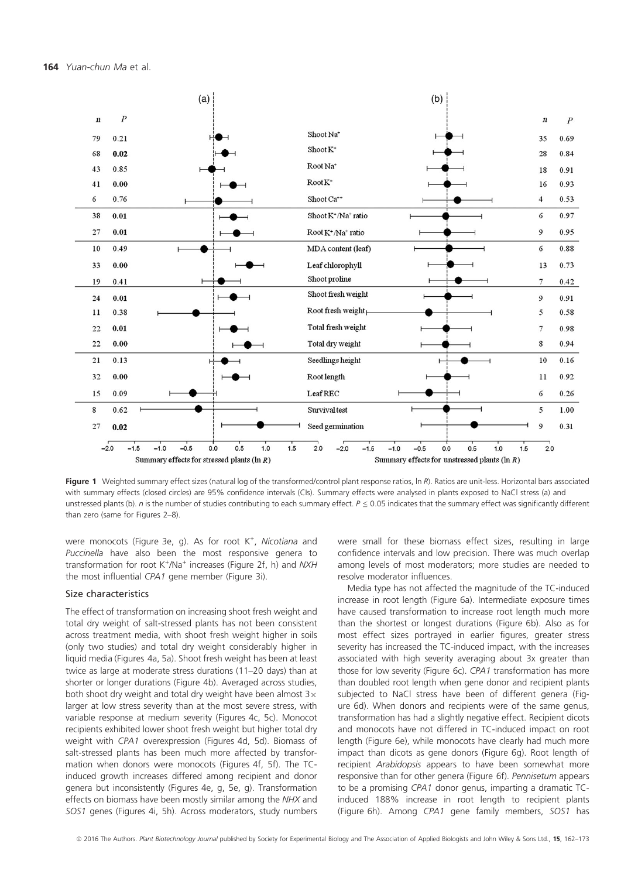

Figure 1 Weighted summary effect sizes (natural log of the transformed/control plant response ratios, In R). Ratios are unit-less. Horizontal bars associated with summary effects (closed circles) are 95% confidence intervals (CIs). Summary effects were analysed in plants exposed to NaCl stress (a) and unstressed plants (b). n is the number of studies contributing to each summary effect.  $P \le 0.05$  indicates that the summary effect was significantly different than zero (same for Figures 2–8).

were monocots (Figure 3e, g). As for root K<sup>+</sup>, Nicotiana and Puccinella have also been the most responsive genera to transformation for root K<sup>+</sup>/Na<sup>+</sup> increases (Figure 2f, h) and NXH the most influential CPA1 gene member (Figure 3i).

#### Size characteristics

The effect of transformation on increasing shoot fresh weight and total dry weight of salt-stressed plants has not been consistent across treatment media, with shoot fresh weight higher in soils (only two studies) and total dry weight considerably higher in liquid media (Figures 4a, 5a). Shoot fresh weight has been at least twice as large at moderate stress durations (11–20 days) than at shorter or longer durations (Figure 4b). Averaged across studies, both shoot dry weight and total dry weight have been almost  $3\times$ larger at low stress severity than at the most severe stress, with variable response at medium severity (Figures 4c, 5c). Monocot recipients exhibited lower shoot fresh weight but higher total dry weight with CPA1 overexpression (Figures 4d, 5d). Biomass of salt-stressed plants has been much more affected by transformation when donors were monocots (Figures 4f, 5f). The TCinduced growth increases differed among recipient and donor genera but inconsistently (Figures 4e, g, 5e, g). Transformation effects on biomass have been mostly similar among the NHX and SOS1 genes (Figures 4i, 5h). Across moderators, study numbers were small for these biomass effect sizes, resulting in large confidence intervals and low precision. There was much overlap among levels of most moderators; more studies are needed to resolve moderator influences.

Media type has not affected the magnitude of the TC-induced increase in root length (Figure 6a). Intermediate exposure times have caused transformation to increase root length much more than the shortest or longest durations (Figure 6b). Also as for most effect sizes portrayed in earlier figures, greater stress severity has increased the TC-induced impact, with the increases associated with high severity averaging about 3x greater than those for low severity (Figure 6c). CPA1 transformation has more than doubled root length when gene donor and recipient plants subjected to NaCl stress have been of different genera (Figure 6d). When donors and recipients were of the same genus, transformation has had a slightly negative effect. Recipient dicots and monocots have not differed in TC-induced impact on root length (Figure 6e), while monocots have clearly had much more impact than dicots as gene donors (Figure 6g). Root length of recipient Arabidopsis appears to have been somewhat more responsive than for other genera (Figure 6f). Pennisetum appears to be a promising CPA1 donor genus, imparting a dramatic TCinduced 188% increase in root length to recipient plants (Figure 6h). Among CPA1 gene family members, SOS1 has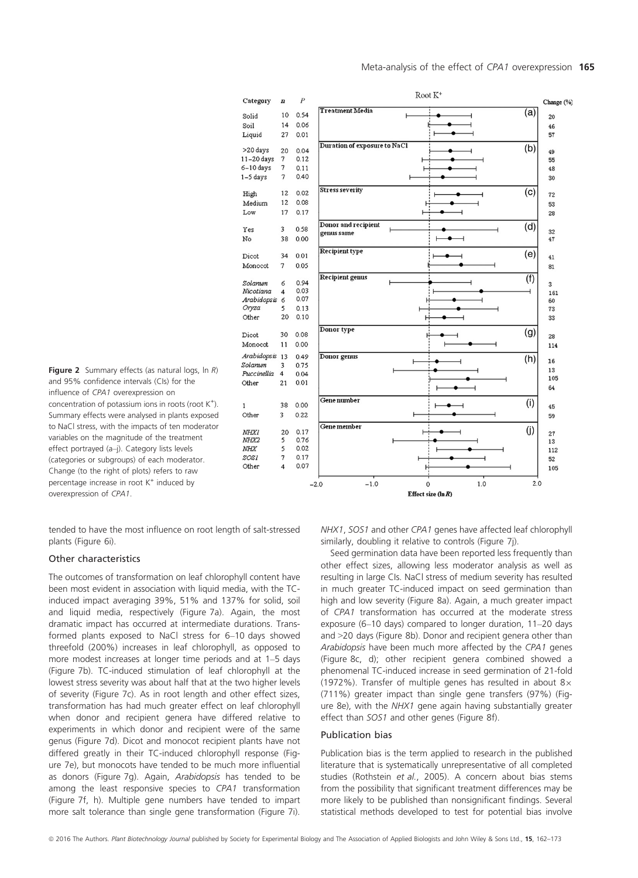

**Figure 2** Summary effects (as natural logs,  $\ln R$ ) and 95% confidence intervals (CIs) for the influence of CPA1 overexpression on concentration of potassium ions in roots (root K<sup>+</sup>). Summary effects were analysed in plants exposed to NaCl stress, with the impacts of ten moderator variables on the magnitude of the treatment effect portrayed (a–j). Category lists levels (categories or subgroups) of each moderator. Change (to the right of plots) refers to raw percentage increase in root  $K^+$  induced by overexpression of CPA1.

tended to have the most influence on root length of salt-stressed plants (Figure 6i).

#### Other characteristics

The outcomes of transformation on leaf chlorophyll content have been most evident in association with liquid media, with the TCinduced impact averaging 39%, 51% and 137% for solid, soil and liquid media, respectively (Figure 7a). Again, the most dramatic impact has occurred at intermediate durations. Transformed plants exposed to NaCl stress for 6–10 days showed threefold (200%) increases in leaf chlorophyll, as opposed to more modest increases at longer time periods and at 1–5 days (Figure 7b). TC-induced stimulation of leaf chlorophyll at the lowest stress severity was about half that at the two higher levels of severity (Figure 7c). As in root length and other effect sizes, transformation has had much greater effect on leaf chlorophyll when donor and recipient genera have differed relative to experiments in which donor and recipient were of the same genus (Figure 7d). Dicot and monocot recipient plants have not differed greatly in their TC-induced chlorophyll response (Figure 7e), but monocots have tended to be much more influential as donors (Figure 7g). Again, Arabidopsis has tended to be among the least responsive species to CPA1 transformation (Figure 7f, h). Multiple gene numbers have tended to impart more salt tolerance than single gene transformation (Figure 7i).

NHX1, SOS1 and other CPA1 genes have affected leaf chlorophyll similarly, doubling it relative to controls (Figure 7j).

Seed germination data have been reported less frequently than other effect sizes, allowing less moderator analysis as well as resulting in large CIs. NaCl stress of medium severity has resulted in much greater TC-induced impact on seed germination than high and low severity (Figure 8a). Again, a much greater impact of CPA1 transformation has occurred at the moderate stress exposure (6–10 days) compared to longer duration, 11–20 days and >20 days (Figure 8b). Donor and recipient genera other than Arabidopsis have been much more affected by the CPA1 genes (Figure 8c, d); other recipient genera combined showed a phenomenal TC-induced increase in seed germination of 21-fold (1972%). Transfer of multiple genes has resulted in about  $8 \times$ (711%) greater impact than single gene transfers (97%) (Figure 8e), with the NHX1 gene again having substantially greater effect than SOS1 and other genes (Figure 8f).

### Publication bias

Publication bias is the term applied to research in the published literature that is systematically unrepresentative of all completed studies (Rothstein et al., 2005). A concern about bias stems from the possibility that significant treatment differences may be more likely to be published than nonsignificant findings. Several statistical methods developed to test for potential bias involve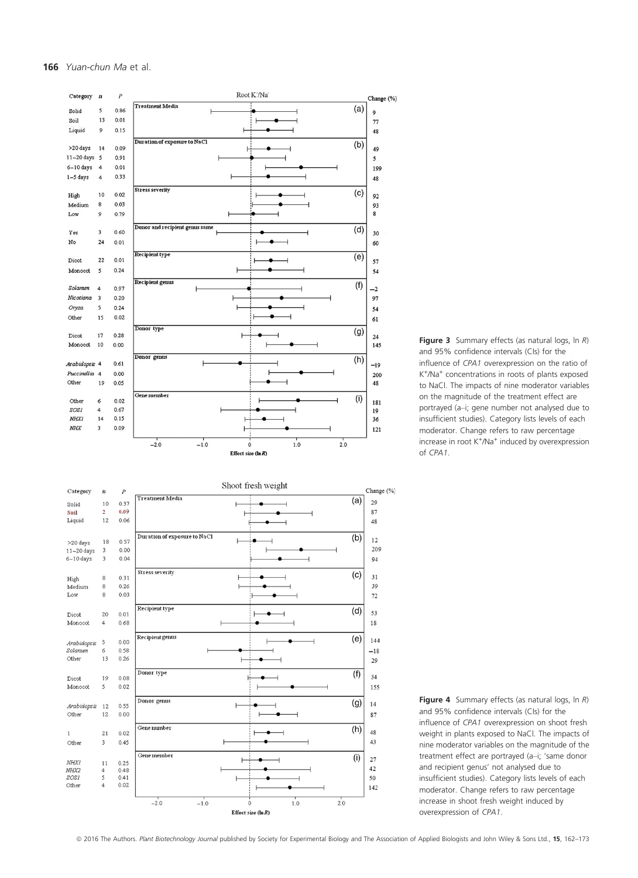$\overline{1}$ 

Other

NHX1

NHX2

SOS

Other

21  $0.02$ 

 $\overline{\mathbf{3}}$ 0.45

 $\begin{array}{c} 11 \\ 4 \end{array}$  $0.25$ 

 $\overline{5}$  $0.41$ 

 $\frac{1}{4}$  $0.02$ 

 $0.48$ 

Gene member

 $-2.0$ 

 $-1.0$ 

 $\Omega$ 

Effect size  $(\ln R)$ 





Figure 4 Summary effects (as natural logs,  $\ln R$ ) and 95% confidence intervals (CIs) for the influence of CPA1 overexpression on shoot fresh weight in plants exposed to NaCl. The impacts of nine moderator variables on the magnitude of the treatment effect are portrayed (a–i; 'same donor and recipient genus' not analysed due to insufficient studies). Category lists levels of each moderator. Change refers to raw percentage increase in shoot fresh weight induced by overexpression of CPA1.

© 2016 The Authors. Plant Biotechnology Journal published by Society for Experimental Biology and The Association of Applied Biologists and John Wiley & Sons Ltd., 15, 162-173

 $1.0$ 

 $2.0$ 

48

 $43$ 

42

50

142

 $(i)$  $27$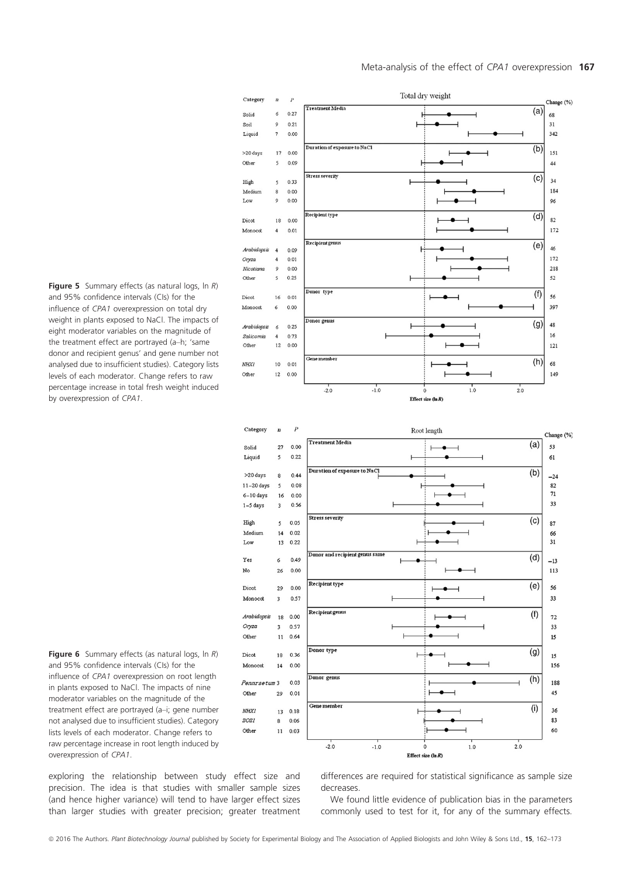

**Figure 5** Summary effects (as natural logs,  $\ln R$ ) and 95% confidence intervals (CIs) for the influence of CPA1 overexpression on total dry weight in plants exposed to NaCl. The impacts of eight moderator variables on the magnitude of the treatment effect are portrayed (a–h; 'same donor and recipient genus' and gene number not analysed due to insufficient studies). Category lists levels of each moderator. Change refers to raw percentage increase in total fresh weight induced by overexpression of CPA1.



Figure 6 Summary effects (as natural logs,  $\ln R$ ) and 95% confidence intervals (CIs) for the influence of CPA1 overexpression on root length in plants exposed to NaCl. The impacts of nine moderator variables on the magnitude of the treatment effect are portrayed (a–i; gene number not analysed due to insufficient studies). Category lists levels of each moderator. Change refers to raw percentage increase in root length induced by overexpression of CPA1.

exploring the relationship between study effect size and precision. The idea is that studies with smaller sample sizes (and hence higher variance) will tend to have larger effect sizes than larger studies with greater precision; greater treatment differences are required for statistical significance as sample size decreases.

We found little evidence of publication bias in the parameters commonly used to test for it, for any of the summary effects.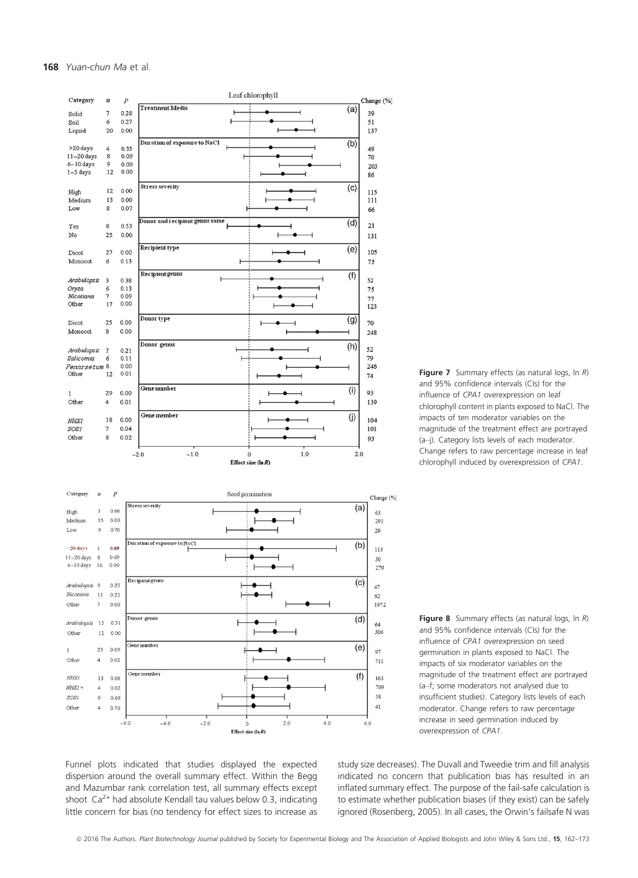





Funnel plots indicated that studies displayed the expected dispersion around the overall summary effect. Within the Begg and Mazumbar rank correlation test, all summary effects except shoot  $Ca^{2+}$  had absolute Kendall tau values below 0.3, indicating little concern for bias (no tendency for effect sizes to increase as

study size decreases). The Duvall and Tweedie trim and fill analysis indicated no concern that publication bias has resulted in an inflated summary effect. The purpose of the fail-safe calculation is to estimate whether publication biases (if they exist) can be safely ignored (Rosenberg, 2005). In all cases, the Orwin's failsafe N was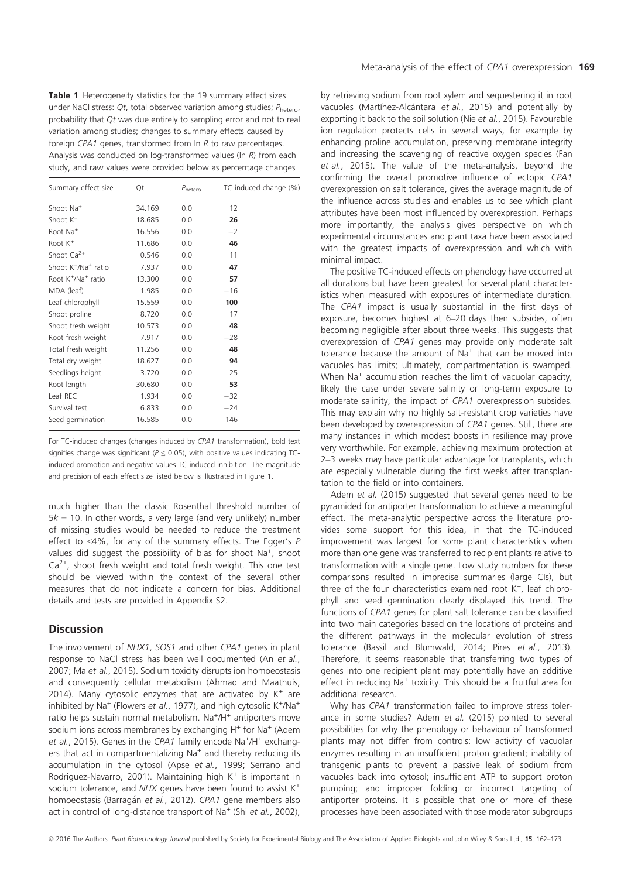Table 1 Heterogeneity statistics for the 19 summary effect sizes under NaCl stress: Qt, total observed variation among studies;  $P_{\text{hetero}}$ probability that Qt was due entirely to sampling error and not to real variation among studies; changes to summary effects caused by foreign CPA1 genes, transformed from ln R to raw percentages. Analysis was conducted on log-transformed values (ln R) from each study, and raw values were provided below as percentage changes

| Summary effect size                         | Qt     | $P_{\text{hetero}}$ | TC-induced change (%) |
|---------------------------------------------|--------|---------------------|-----------------------|
| Shoot Na <sup>+</sup>                       | 34.169 | 0.0                 | 12                    |
| Shoot K <sup>+</sup>                        | 18.685 | 0.0                 | 26                    |
| Root Na <sup>+</sup>                        | 16.556 | 0.0                 | $-2$                  |
| Root K <sup>+</sup>                         | 11.686 | 0.0                 | 46                    |
| Shoot $Ca^{2+}$                             | 0.546  | 0.0                 | 11                    |
| Shoot K <sup>+</sup> /Na <sup>+</sup> ratio | 7.937  | 0.0                 | 47                    |
| Root K <sup>+</sup> /Na <sup>+</sup> ratio  | 13.300 | 0.0                 | 57                    |
| MDA (leaf)                                  | 1.985  | 0.0                 | $-16$                 |
| Leaf chlorophyll                            | 15.559 | 0.0                 | 100                   |
| Shoot proline                               | 8.720  | 0.0                 | 17                    |
| Shoot fresh weight                          | 10.573 | 0.0                 | 48                    |
| Root fresh weight                           | 7.917  | 0.0                 | $-28$                 |
| Total fresh weight                          | 11.256 | 0.0                 | 48                    |
| Total dry weight                            | 18.627 | 0.0                 | 94                    |
| Seedlings height                            | 3.720  | 0.0                 | 25                    |
| Root length                                 | 30.680 | 0.0                 | 53                    |
| Leaf REC                                    | 1.934  | 0.0                 | $-32$                 |
| Survival test                               | 6.833  | 0.0                 | $-24$                 |
| Seed germination                            | 16.585 | 0.0                 | 146                   |
|                                             |        |                     |                       |

For TC-induced changes (changes induced by CPA1 transformation), bold text signifies change was significant ( $P \le 0.05$ ), with positive values indicating TCinduced promotion and negative values TC-induced inhibition. The magnitude and precision of each effect size listed below is illustrated in Figure 1.

much higher than the classic Rosenthal threshold number of  $5k + 10$ . In other words, a very large (and very unlikely) number of missing studies would be needed to reduce the treatment effect to <4%, for any of the summary effects. The Egger's P values did suggest the possibility of bias for shoot Na<sup>+</sup>, shoot  $Ca<sup>2+</sup>$ , shoot fresh weight and total fresh weight. This one test should be viewed within the context of the several other measures that do not indicate a concern for bias. Additional details and tests are provided in Appendix S2.

#### **Discussion**

The involvement of NHX1, SOS1 and other CPA1 genes in plant response to NaCl stress has been well documented (An et al., 2007; Ma et al., 2015). Sodium toxicity disrupts ion homoeostasis and consequently cellular metabolism (Ahmad and Maathuis, 2014). Many cytosolic enzymes that are activated by  $K^+$  are inhibited by Na<sup>+</sup> (Flowers et al., 1977), and high cytosolic K<sup>+</sup>/Na<sup>+</sup> ratio helps sustain normal metabolism. Na<sup>+</sup>/H<sup>+</sup> antiporters move sodium ions across membranes by exchanging H<sup>+</sup> for Na<sup>+</sup> (Adem et al., 2015). Genes in the CPA1 family encode Na<sup>+</sup>/H<sup>+</sup> exchangers that act in compartmentalizing Na<sup>+</sup> and thereby reducing its accumulation in the cytosol (Apse et al., 1999; Serrano and Rodriguez-Navarro, 2001). Maintaining high K<sup>+</sup> is important in sodium tolerance, and  $NHX$  genes have been found to assist  $K^+$ homoeostasis (Barragán et al., 2012). CPA1 gene members also act in control of long-distance transport of Na<sup>+</sup> (Shi et al., 2002),

by retrieving sodium from root xylem and sequestering it in root vacuoles (Martínez-Alcántara et al., 2015) and potentially by exporting it back to the soil solution (Nie et al., 2015). Favourable ion regulation protects cells in several ways, for example by enhancing proline accumulation, preserving membrane integrity and increasing the scavenging of reactive oxygen species (Fan et al., 2015). The value of the meta-analysis, beyond the confirming the overall promotive influence of ectopic CPA1 overexpression on salt tolerance, gives the average magnitude of the influence across studies and enables us to see which plant attributes have been most influenced by overexpression. Perhaps more importantly, the analysis gives perspective on which experimental circumstances and plant taxa have been associated with the greatest impacts of overexpression and which with minimal impact.

The positive TC-induced effects on phenology have occurred at all durations but have been greatest for several plant characteristics when measured with exposures of intermediate duration. The CPA1 impact is usually substantial in the first days of exposure, becomes highest at 6–20 days then subsides, often becoming negligible after about three weeks. This suggests that overexpression of CPA1 genes may provide only moderate salt tolerance because the amount of  $Na<sup>+</sup>$  that can be moved into vacuoles has limits; ultimately, compartmentation is swamped. When Na<sup>+</sup> accumulation reaches the limit of vacuolar capacity, likely the case under severe salinity or long-term exposure to moderate salinity, the impact of CPA1 overexpression subsides. This may explain why no highly salt-resistant crop varieties have been developed by overexpression of CPA1 genes. Still, there are many instances in which modest boosts in resilience may prove very worthwhile. For example, achieving maximum protection at 2–3 weeks may have particular advantage for transplants, which are especially vulnerable during the first weeks after transplantation to the field or into containers.

Adem et al. (2015) suggested that several genes need to be pyramided for antiporter transformation to achieve a meaningful effect. The meta-analytic perspective across the literature provides some support for this idea, in that the TC-induced improvement was largest for some plant characteristics when more than one gene was transferred to recipient plants relative to transformation with a single gene. Low study numbers for these comparisons resulted in imprecise summaries (large CIs), but three of the four characteristics examined root K<sup>+</sup>, leaf chlorophyll and seed germination clearly displayed this trend. The functions of CPA1 genes for plant salt tolerance can be classified into two main categories based on the locations of proteins and the different pathways in the molecular evolution of stress tolerance (Bassil and Blumwald, 2014; Pires et al., 2013). Therefore, it seems reasonable that transferring two types of genes into one recipient plant may potentially have an additive effect in reducing Na<sup>+</sup> toxicity. This should be a fruitful area for additional research.

Why has CPA1 transformation failed to improve stress tolerance in some studies? Adem et al. (2015) pointed to several possibilities for why the phenology or behaviour of transformed plants may not differ from controls: low activity of vacuolar enzymes resulting in an insufficient proton gradient; inability of transgenic plants to prevent a passive leak of sodium from vacuoles back into cytosol; insufficient ATP to support proton pumping; and improper folding or incorrect targeting of antiporter proteins. It is possible that one or more of these processes have been associated with those moderator subgroups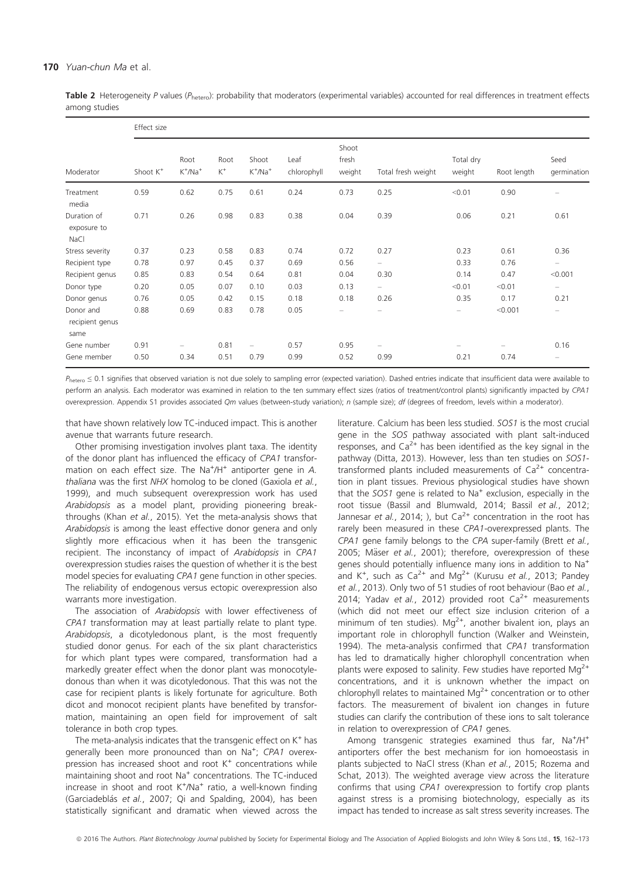Table 2 Heterogeneity P values (Phetero): probability that moderators (experimental variables) accounted for real differences in treatment effects among studies

| Moderator                            | Effect size          |                    |               |                          |                     |                          |                          |                     |             |                          |  |
|--------------------------------------|----------------------|--------------------|---------------|--------------------------|---------------------|--------------------------|--------------------------|---------------------|-------------|--------------------------|--|
|                                      | Shoot K <sup>+</sup> | Root<br>$K^+/Na^+$ | Root<br>$K^+$ | Shoot<br>$K^+/Na^+$      | Leaf<br>chlorophyll | Shoot<br>fresh<br>weight | Total fresh weight       | Total dry<br>weight | Root length | Seed<br>germination      |  |
| Treatment<br>media                   | 0.59                 | 0.62               | 0.75          | 0.61                     | 0.24                | 0.73                     | 0.25                     | < 0.01              | 0.90        |                          |  |
| Duration of<br>exposure to<br>NaCl   | 0.71                 | 0.26               | 0.98          | 0.83                     | 0.38                | 0.04                     | 0.39                     | 0.06                | 0.21        | 0.61                     |  |
| Stress severity                      | 0.37                 | 0.23               | 0.58          | 0.83                     | 0.74                | 0.72                     | 0.27                     | 0.23                | 0.61        | 0.36                     |  |
| Recipient type                       | 0.78                 | 0.97               | 0.45          | 0.37                     | 0.69                | 0.56                     | $\overline{\phantom{a}}$ | 0.33                | 0.76        | -                        |  |
| Recipient genus                      | 0.85                 | 0.83               | 0.54          | 0.64                     | 0.81                | 0.04                     | 0.30                     | 0.14                | 0.47        | < 0.001                  |  |
| Donor type                           | 0.20                 | 0.05               | 0.07          | 0.10                     | 0.03                | 0.13                     | $\overline{\phantom{m}}$ | < 0.01              | < 0.01      | $\overline{\phantom{0}}$ |  |
| Donor genus                          | 0.76                 | 0.05               | 0.42          | 0.15                     | 0.18                | 0.18                     | 0.26                     | 0.35                | 0.17        | 0.21                     |  |
| Donor and<br>recipient genus<br>same | 0.88                 | 0.69               | 0.83          | 0.78                     | 0.05                |                          | $\qquad \qquad$          | $-$                 | < 0.001     | -                        |  |
| Gene number                          | 0.91                 | $\qquad \qquad -$  | 0.81          | $\overline{\phantom{m}}$ | 0.57                | 0.95                     | $\overline{\phantom{m}}$ |                     | -           | 0.16                     |  |
| Gene member                          | 0.50                 | 0.34               | 0.51          | 0.79                     | 0.99                | 0.52                     | 0.99                     | 0.21                | 0.74        | -                        |  |

 $P_{\text{hetero}} \leq 0.1$  signifies that observed variation is not due solely to sampling error (expected variation). Dashed entries indicate that insufficient data were available to perform an analysis. Each moderator was examined in relation to the ten summary effect sizes (ratios of treatment/control plants) significantly impacted by CPA1 overexpression. Appendix S1 provides associated Qm values (between-study variation); n (sample size); df (degrees of freedom, levels within a moderator).

that have shown relatively low TC-induced impact. This is another avenue that warrants future research.

Other promising investigation involves plant taxa. The identity of the donor plant has influenced the efficacy of CPA1 transformation on each effect size. The Na<sup>+</sup>/H<sup>+</sup> antiporter gene in A. thaliana was the first NHX homolog to be cloned (Gaxiola et al., 1999), and much subsequent overexpression work has used Arabidopsis as a model plant, providing pioneering breakthroughs (Khan et al., 2015). Yet the meta-analysis shows that Arabidopsis is among the least effective donor genera and only slightly more efficacious when it has been the transgenic recipient. The inconstancy of impact of Arabidopsis in CPA1 overexpression studies raises the question of whether it is the best model species for evaluating CPA1 gene function in other species. The reliability of endogenous versus ectopic overexpression also warrants more investigation.

The association of Arabidopsis with lower effectiveness of CPA1 transformation may at least partially relate to plant type. Arabidopsis, a dicotyledonous plant, is the most frequently studied donor genus. For each of the six plant characteristics for which plant types were compared, transformation had a markedly greater effect when the donor plant was monocotyledonous than when it was dicotyledonous. That this was not the case for recipient plants is likely fortunate for agriculture. Both dicot and monocot recipient plants have benefited by transformation, maintaining an open field for improvement of salt tolerance in both crop types.

The meta-analysis indicates that the transgenic effect on  $K^+$  has generally been more pronounced than on Na<sup>+</sup>; CPA1 overexpression has increased shoot and root  $K^+$  concentrations while maintaining shoot and root Na<sup>+</sup> concentrations. The TC-induced increase in shoot and root K<sup>+</sup>/Na<sup>+</sup> ratio, a well-known finding (Garciadeblás et al., 2007; Qi and Spalding, 2004), has been statistically significant and dramatic when viewed across the literature. Calcium has been less studied. SOS1 is the most crucial gene in the SOS pathway associated with plant salt-induced responses, and  $Ca^{2+}$  has been identified as the key signal in the pathway (Ditta, 2013). However, less than ten studies on SOS1 transformed plants included measurements of  $Ca<sup>2+</sup>$  concentration in plant tissues. Previous physiological studies have shown that the  $SOS1$  gene is related to  $Na<sup>+</sup>$  exclusion, especially in the root tissue (Bassil and Blumwald, 2014; Bassil et al., 2012; Jannesar et al., 2014; ), but  $Ca^{2+}$  concentration in the root has rarely been measured in these CPA1-overexpressed plants. The CPA1 gene family belongs to the CPA super-family (Brett et al., 2005; Mäser et al., 2001); therefore, overexpression of these genes should potentially influence many ions in addition to Na+ and K<sup>+</sup>, such as Ca<sup>2+</sup> and Mg<sup>2+</sup> (Kurusu et al., 2013; Pandey et al., 2013). Only two of 51 studies of root behaviour (Bao et al., 2014; Yadav et al., 2012) provided root  $Ca^{2+}$  measurements (which did not meet our effect size inclusion criterion of a minimum of ten studies). Mg<sup>2+</sup>, another bivalent ion, plays an important role in chlorophyll function (Walker and Weinstein, 1994). The meta-analysis confirmed that CPA1 transformation has led to dramatically higher chlorophyll concentration when plants were exposed to salinity. Few studies have reported  $Mq^{2+}$ concentrations, and it is unknown whether the impact on chlorophyll relates to maintained  $Mq^{2+}$  concentration or to other factors. The measurement of bivalent ion changes in future studies can clarify the contribution of these ions to salt tolerance in relation to overexpression of CPA1 genes.

Among transgenic strategies examined thus far, Na<sup>+</sup>/H<sup>+</sup> antiporters offer the best mechanism for ion homoeostasis in plants subjected to NaCl stress (Khan et al., 2015; Rozema and Schat, 2013). The weighted average view across the literature confirms that using CPA1 overexpression to fortify crop plants against stress is a promising biotechnology, especially as its impact has tended to increase as salt stress severity increases. The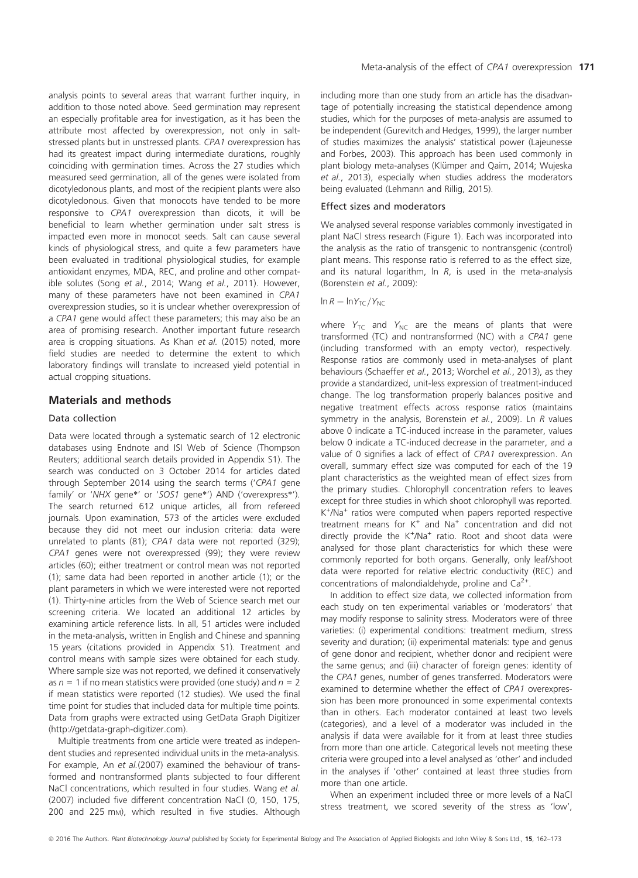analysis points to several areas that warrant further inquiry, in addition to those noted above. Seed germination may represent an especially profitable area for investigation, as it has been the attribute most affected by overexpression, not only in saltstressed plants but in unstressed plants. CPA1 overexpression has had its greatest impact during intermediate durations, roughly coinciding with germination times. Across the 27 studies which measured seed germination, all of the genes were isolated from dicotyledonous plants, and most of the recipient plants were also dicotyledonous. Given that monocots have tended to be more responsive to CPA1 overexpression than dicots, it will be beneficial to learn whether germination under salt stress is impacted even more in monocot seeds. Salt can cause several kinds of physiological stress, and quite a few parameters have been evaluated in traditional physiological studies, for example antioxidant enzymes, MDA, REC, and proline and other compatible solutes (Song et al., 2014; Wang et al., 2011). However, many of these parameters have not been examined in CPA1 overexpression studies, so it is unclear whether overexpression of a CPA1 gene would affect these parameters; this may also be an area of promising research. Another important future research area is cropping situations. As Khan et al. (2015) noted, more field studies are needed to determine the extent to which laboratory findings will translate to increased yield potential in actual cropping situations.

#### Materials and methods

#### Data collection

Data were located through a systematic search of 12 electronic databases using Endnote and ISI Web of Science (Thompson Reuters; additional search details provided in Appendix S1). The search was conducted on 3 October 2014 for articles dated through September 2014 using the search terms ('CPA1 gene family' or 'NHX gene\*' or 'SOS1 gene\*') AND ('overexpress\*'). The search returned 612 unique articles, all from refereed journals. Upon examination, 573 of the articles were excluded because they did not meet our inclusion criteria: data were unrelated to plants (81); CPA1 data were not reported (329); CPA1 genes were not overexpressed (99); they were review articles (60); either treatment or control mean was not reported (1); same data had been reported in another article (1); or the plant parameters in which we were interested were not reported (1). Thirty-nine articles from the Web of Science search met our screening criteria. We located an additional 12 articles by examining article reference lists. In all, 51 articles were included in the meta-analysis, written in English and Chinese and spanning 15 years (citations provided in Appendix S1). Treatment and control means with sample sizes were obtained for each study. Where sample size was not reported, we defined it conservatively as  $n = 1$  if no mean statistics were provided (one study) and  $n = 2$ if mean statistics were reported (12 studies). We used the final time point for studies that included data for multiple time points. Data from graphs were extracted using GetData Graph Digitizer ([http://getdata-graph-digitizer.com\)](http://getdata-graph-digitizer.com).

Multiple treatments from one article were treated as independent studies and represented individual units in the meta-analysis. For example, An et al.(2007) examined the behaviour of transformed and nontransformed plants subjected to four different NaCl concentrations, which resulted in four studies. Wang et al. (2007) included five different concentration NaCl (0, 150, 175, 200 and 225 mm), which resulted in five studies. Although

including more than one study from an article has the disadvantage of potentially increasing the statistical dependence among studies, which for the purposes of meta-analysis are assumed to be independent (Gurevitch and Hedges, 1999), the larger number of studies maximizes the analysis' statistical power (Lajeunesse and Forbes, 2003). This approach has been used commonly in plant biology meta-analyses (Klümper and Qaim, 2014; Wujeska et al., 2013), especially when studies address the moderators being evaluated (Lehmann and Rillig, 2015).

#### Effect sizes and moderators

We analysed several response variables commonly investigated in plant NaCl stress research (Figure 1). Each was incorporated into the analysis as the ratio of transgenic to nontransgenic (control) plant means. This response ratio is referred to as the effect size, and its natural logarithm,  $\ln R$ , is used in the meta-analysis (Borenstein et al., 2009):

 $\ln R = \ln Y_{\text{TC}}/Y_{\text{NC}}$ 

where  $Y_{\text{TC}}$  and  $Y_{\text{NC}}$  are the means of plants that were transformed (TC) and nontransformed (NC) with a CPA1 gene (including transformed with an empty vector), respectively. Response ratios are commonly used in meta-analyses of plant behaviours (Schaeffer et al., 2013; Worchel et al., 2013), as they provide a standardized, unit-less expression of treatment-induced change. The log transformation properly balances positive and negative treatment effects across response ratios (maintains symmetry in the analysis, Borenstein et al., 2009). Ln R values above 0 indicate a TC-induced increase in the parameter, values below 0 indicate a TC-induced decrease in the parameter, and a value of 0 signifies a lack of effect of CPA1 overexpression. An overall, summary effect size was computed for each of the 19 plant characteristics as the weighted mean of effect sizes from the primary studies. Chlorophyll concentration refers to leaves except for three studies in which shoot chlorophyll was reported. K<sup>+</sup>/Na<sup>+</sup> ratios were computed when papers reported respective treatment means for  $K^+$  and  $Na^+$  concentration and did not directly provide the K<sup>+</sup>/Na<sup>+</sup> ratio. Root and shoot data were analysed for those plant characteristics for which these were commonly reported for both organs. Generally, only leaf/shoot data were reported for relative electric conductivity (REC) and concentrations of malondialdehyde, proline and  $Ca^{2+}$ .

In addition to effect size data, we collected information from each study on ten experimental variables or 'moderators' that may modify response to salinity stress. Moderators were of three varieties: (i) experimental conditions: treatment medium, stress severity and duration; (ii) experimental materials: type and genus of gene donor and recipient, whether donor and recipient were the same genus; and (iii) character of foreign genes: identity of the CPA1 genes, number of genes transferred. Moderators were examined to determine whether the effect of CPA1 overexpression has been more pronounced in some experimental contexts than in others. Each moderator contained at least two levels (categories), and a level of a moderator was included in the analysis if data were available for it from at least three studies from more than one article. Categorical levels not meeting these criteria were grouped into a level analysed as 'other' and included in the analyses if 'other' contained at least three studies from more than one article.

When an experiment included three or more levels of a NaCl stress treatment, we scored severity of the stress as 'low',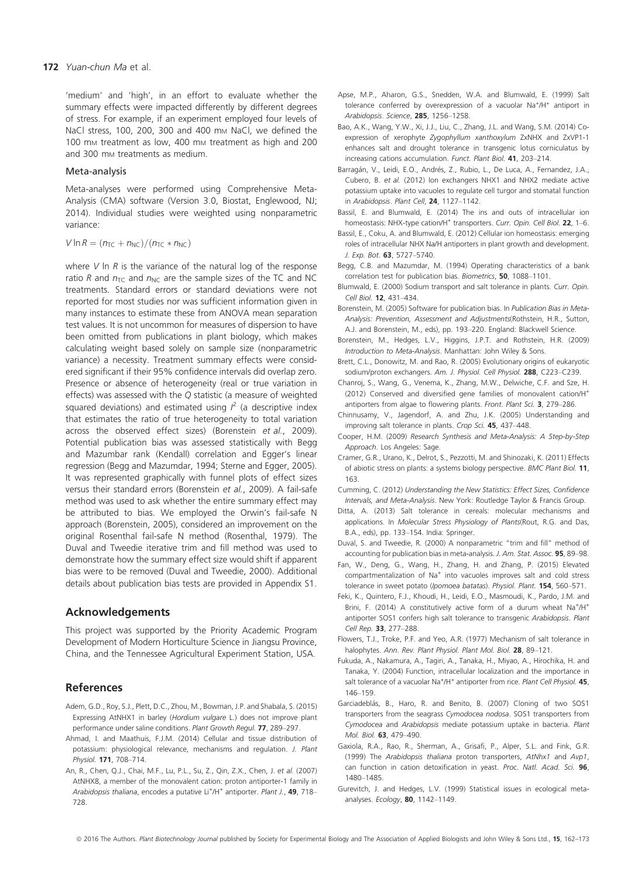#### 172 Yuan-chun Ma et al.

'medium' and 'high', in an effort to evaluate whether the summary effects were impacted differently by different degrees of stress. For example, if an experiment employed four levels of NaCl stress, 100, 200, 300 and 400 mm NaCl, we defined the 100 mm treatment as low, 400 mm treatment as high and 200 and 300 mm treatments as medium.

#### Meta-analysis

Meta-analyses were performed using Comprehensive Meta-Analysis (CMA) software (Version 3.0, Biostat, Englewood, NJ; 2014). Individual studies were weighted using nonparametric variance:

$$
V \ln R = (n_{\text{TC}} + n_{\text{NC}})/(n_{\text{TC}} * n_{\text{NC}})
$$

where  $V \ln R$  is the variance of the natural log of the response ratio R and  $n_{TC}$  and  $n_{NC}$  are the sample sizes of the TC and NC treatments. Standard errors or standard deviations were not reported for most studies nor was sufficient information given in many instances to estimate these from ANOVA mean separation test values. It is not uncommon for measures of dispersion to have been omitted from publications in plant biology, which makes calculating weight based solely on sample size (nonparametric variance) a necessity. Treatment summary effects were considered significant if their 95% confidence intervals did overlap zero. Presence or absence of heterogeneity (real or true variation in effects) was assessed with the Q statistic (a measure of weighted squared deviations) and estimated using  $l^2$  (a descriptive index that estimates the ratio of true heterogeneity to total variation across the observed effect sizes) (Borenstein et al., 2009). Potential publication bias was assessed statistically with Begg and Mazumbar rank (Kendall) correlation and Egger's linear regression (Begg and Mazumdar, 1994; Sterne and Egger, 2005). It was represented graphically with funnel plots of effect sizes versus their standard errors (Borenstein et al., 2009). A fail-safe method was used to ask whether the entire summary effect may be attributed to bias. We employed the Orwin's fail-safe N approach (Borenstein, 2005), considered an improvement on the original Rosenthal fail-safe N method (Rosenthal, 1979). The Duval and Tweedie iterative trim and fill method was used to demonstrate how the summary effect size would shift if apparent bias were to be removed (Duval and Tweedie, 2000). Additional details about publication bias tests are provided in Appendix S1.

## Acknowledgements

This project was supported by the Priority Academic Program Development of Modern Horticulture Science in Jiangsu Province, China, and the Tennessee Agricultural Experiment Station, USA.

## **References**

- Adem, G.D., Roy, S.J., Plett, D.C., Zhou, M., Bowman, J.P. and Shabala, S. (2015) Expressing AtNHX1 in barley (Hordium vulgare L.) does not improve plant performance under saline conditions. Plant Growth Regul. 77, 289–297.
- Ahmad, I. and Maathuis, F.J.M. (2014) Cellular and tissue distribution of potassium: physiological relevance, mechanisms and regulation. J. Plant Physiol. 171, 708–714.
- An, R., Chen, Q.J., Chai, M.F., Lu, P.L., Su, Z., Qin, Z.X., Chen, J. et al. (2007) AtNHX8, a member of the monovalent cation: proton antiporter-1 family in Arabidopsis thaliana, encodes a putative Li<sup>+</sup>/H<sup>+</sup> antiporter. Plant J., 49, 718-728.
- Apse, M.P., Aharon, G.S., Snedden, W.A. and Blumwald, E. (1999) Salt tolerance conferred by overexpression of a vacuolar Na<sup>+</sup>/H<sup>+</sup> antiport in Arabidopsis. Science, 285, 1256-1258.
- Bao, A.K., Wang, Y.W., Xi, J.J., Liu, C., Zhang, J.L. and Wang, S.M. (2014) Coexpression of xerophyte Zygophyllum xanthoxylum ZxNHX and ZxVP1-1 enhances salt and drought tolerance in transgenic lotus corniculatus by increasing cations accumulation. Funct. Plant Biol. 41, 203–214.
- Barragán, V., Leidi, E.O., Andrés, Z., Rubio, L., De Luca, A., Fernandez, J.A., Cubero, B. et al. (2012) Ion exchangers NHX1 and NHX2 mediate active potassium uptake into vacuoles to regulate cell turgor and stomatal function in Arabidopsis. Plant Cell, 24, 1127–1142.
- Bassil, E. and Blumwald, E. (2014) The ins and outs of intracellular ion homeostasis: NHX-type cation/H<sup>+</sup> transporters. Curr. Opin. Cell Biol. 22, 1-6.
- Bassil, E., Coku, A. and Blumwald, E. (2012) Cellular ion homeostasis: emerging roles of intracellular NHX Na/H antiporters in plant growth and development. J. Exp. Bot. 63, 5727–5740.
- Begg, C.B. and Mazumdar, M. (1994) Operating characteristics of a bank correlation test for publication bias. Biometrics, 50, 1088–1101.
- Blumwald, E. (2000) Sodium transport and salt tolerance in plants. Curr. Opin. Cell Biol. 12, 431–434.
- Borenstein, M. (2005) Software for publication bias. In Publication Bias in Meta-Analysis: Prevention, Assessment and Adjustments(Rothstein, H.R., Sutton, A.J. and Borenstein, M., eds), pp. 193–220. England: Blackwell Science.
- Borenstein, M., Hedges, L.V., Higgins, J.P.T. and Rothstein, H.R. (2009) Introduction to Meta-Analysis. Manhattan: John Wiley & Sons.
- Brett, C.L., Donowitz, M. and Rao, R. (2005) Evolutionary origins of eukaryotic sodium/proton exchangers. Am. J. Physiol. Cell Physiol. 288, C223-C239.
- Chanroj, S., Wang, G., Venema, K., Zhang, M.W., Delwiche, C.F. and Sze, H. (2012) Conserved and diversified gene families of monovalent cation/H<sup>+</sup> antiporters from algae to flowering plants. Front. Plant Sci. 3, 279–286.
- Chinnusamy, V., Jagendorf, A. and Zhu, J.K. (2005) Understanding and improving salt tolerance in plants. Crop Sci. 45, 437–448.
- Cooper, H.M. (2009) Research Synthesis and Meta-Analysis: A Step-by-Step Approach. Los Angeles: Sage.
- Cramer, G.R., Urano, K., Delrot, S., Pezzotti, M. and Shinozaki, K. (2011) Effects of abiotic stress on plants: a systems biology perspective. BMC Plant Biol. 11, 163.
- Cumming, C. (2012) Understanding the New Statistics: Effect Sizes, Confidence Intervals, and Meta-Analysis. New York: Routledge Taylor & Francis Group.
- Ditta, A. (2013) Salt tolerance in cereals: molecular mechanisms and applications. In Molecular Stress Physiology of Plants(Rout, R.G. and Das, B.A., eds), pp. 133–154. India: Springer.
- Duval, S. and Tweedie, R. (2000) A nonparametric "trim and fill" method of accounting for publication bias in meta-analysis. J. Am. Stat. Assoc. 95, 89–98.
- Fan, W., Deng, G., Wang, H., Zhang, H. and Zhang, P. (2015) Elevated compartmentalization of Na<sup>+</sup> into vacuoles improves salt and cold stress tolerance in sweet potato (Ipomoea batatas). Physiol. Plant. 154, 560-571.
- Feki, K., Quintero, F.J., Khoudi, H., Leidi, E.O., Masmoudi, K., Pardo, J.M. and Brini, F. (2014) A constitutively active form of a durum wheat Na<sup>+</sup>/H<sup>+</sup> antiporter SOS1 confers high salt tolerance to transgenic Arabidopsis. Plant Cell Rep. 33, 277–288.
- Flowers, T.J., Troke, P.F. and Yeo, A.R. (1977) Mechanism of salt tolerance in halophytes. Ann. Rev. Plant Physiol. Plant Mol. Biol. 28, 89-121.
- Fukuda, A., Nakamura, A., Tagiri, A., Tanaka, H., Miyao, A., Hirochika, H. and Tanaka, Y. (2004) Function, intracellular localization and the importance in salt tolerance of a vacuolar Na<sup>+</sup>/H<sup>+</sup> antiporter from rice. Plant Cell Physiol. 45, 146–159.
- Garciadeblás, B., Haro, R. and Benito, B. (2007) Cloning of two SOS1 transporters from the seagrass Cymodocea nodosa. SOS1 transporters from Cymodocea and Arabidopsis mediate potassium uptake in bacteria. Plant Mol. Biol. 63, 479–490.
- Gaxiola, R.A., Rao, R., Sherman, A., Grisafi, P., Alper, S.L. and Fink, G.R. (1999) The Arabidopsis thaliana proton transporters, AtNhx1 and Avp1, can function in cation detoxification in yeast. Proc. Natl. Acad. Sci. 96, 1480–1485.
- Gurevitch, J. and Hedges, L.V. (1999) Statistical issues in ecological metaanalyses. Ecology, 80, 1142–1149.